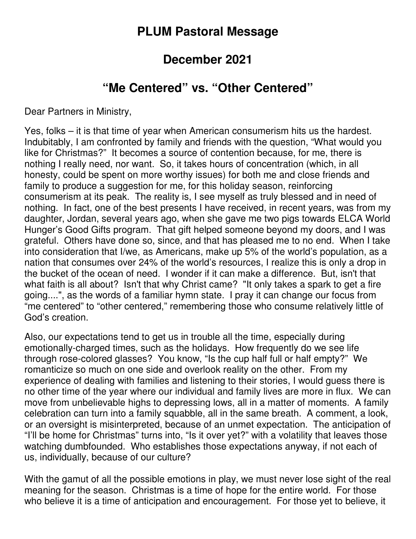## **PLUM Pastoral Message**

## **December 2021**

## **"Me Centered" vs. "Other Centered"**

Dear Partners in Ministry,

Yes, folks – it is that time of year when American consumerism hits us the hardest. Indubitably, I am confronted by family and friends with the question, "What would you like for Christmas?" It becomes a source of contention because, for me, there is nothing I really need, nor want. So, it takes hours of concentration (which, in all honesty, could be spent on more worthy issues) for both me and close friends and family to produce a suggestion for me, for this holiday season, reinforcing consumerism at its peak. The reality is, I see myself as truly blessed and in need of nothing. In fact, one of the best presents I have received, in recent years, was from my daughter, Jordan, several years ago, when she gave me two pigs towards ELCA World Hunger's Good Gifts program. That gift helped someone beyond my doors, and I was grateful. Others have done so, since, and that has pleased me to no end. When I take into consideration that I/we, as Americans, make up 5% of the world's population, as a nation that consumes over 24% of the world's resources, I realize this is only a drop in the bucket of the ocean of need. I wonder if it can make a difference. But, isn't that what faith is all about? Isn't that why Christ came? "It only takes a spark to get a fire going....", as the words of a familiar hymn state. I pray it can change our focus from "me centered" to "other centered," remembering those who consume relatively little of God's creation.

Also, our expectations tend to get us in trouble all the time, especially during emotionally-charged times, such as the holidays. How frequently do we see life through rose-colored glasses? You know, "Is the cup half full or half empty?" We romanticize so much on one side and overlook reality on the other. From my experience of dealing with families and listening to their stories, I would guess there is no other time of the year where our individual and family lives are more in flux. We can move from unbelievable highs to depressing lows, all in a matter of moments. A family celebration can turn into a family squabble, all in the same breath. A comment, a look, or an oversight is misinterpreted, because of an unmet expectation. The anticipation of "I'll be home for Christmas" turns into, "Is it over yet?" with a volatility that leaves those watching dumbfounded. Who establishes those expectations anyway, if not each of us, individually, because of our culture?

With the gamut of all the possible emotions in play, we must never lose sight of the real meaning for the season. Christmas is a time of hope for the entire world. For those who believe it is a time of anticipation and encouragement. For those yet to believe, it